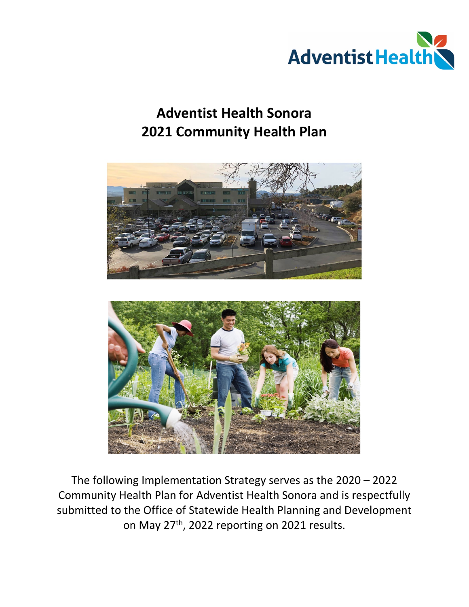

# **Adventist Health Sonora 2021 Community Health Plan**





The following Implementation Strategy serves as the 2020 – 2022 Community Health Plan for Adventist Health Sonora and is respectfully submitted to the Office of Statewide Health Planning and Development on May 27<sup>th</sup>, 2022 reporting on 2021 results.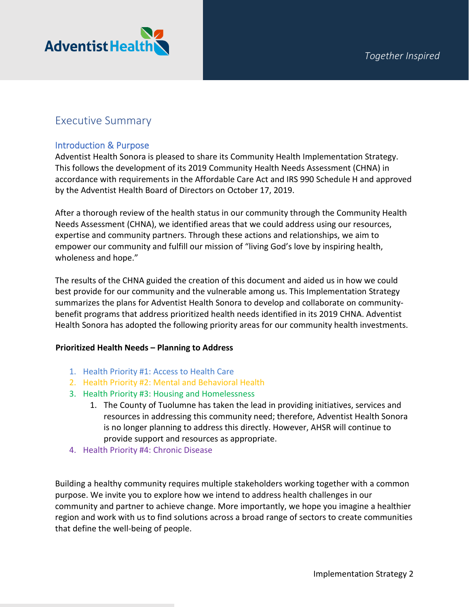

# Executive Summary

### Introduction & Purpose

Adventist Health Sonora is pleased to share its Community Health Implementation Strategy. This follows the development of its 2019 Community Health Needs Assessment (CHNA) in accordance with requirements in the Affordable Care Act and IRS 990 Schedule H and approved by the Adventist Health Board of Directors on October 17, 2019.

After a thorough review of the health status in our community through the Community Health Needs Assessment (CHNA), we identified areas that we could address using our resources, expertise and community partners. Through these actions and relationships, we aim to empower our community and fulfill our mission of "living God's love by inspiring health, wholeness and hope."

The results of the CHNA guided the creation of this document and aided us in how we could best provide for our community and the vulnerable among us. This Implementation Strategy summarizes the plans for Adventist Health Sonora to develop and collaborate on communitybenefit programs that address prioritized health needs identified in its 2019 CHNA. Adventist Health Sonora has adopted the following priority areas for our community health investments.

#### **Prioritized Health Needs – Planning to Address**

- 1. Health Priority #1: Access to Health Care
- 2. Health Priority #2: Mental and Behavioral Health
- 3. Health Priority #3: Housing and Homelessness
	- 1. The County of Tuolumne has taken the lead in providing initiatives, services and resources in addressing this community need; therefore, Adventist Health Sonora is no longer planning to address this directly. However, AHSR will continue to provide support and resources as appropriate.
- 4. Health Priority #4: Chronic Disease

Building a healthy community requires multiple stakeholders working together with a common purpose. We invite you to explore how we intend to address health challenges in our community and partner to achieve change. More importantly, we hope you imagine a healthier region and work with us to find solutions across a broad range of sectors to create communities that define the well-being of people.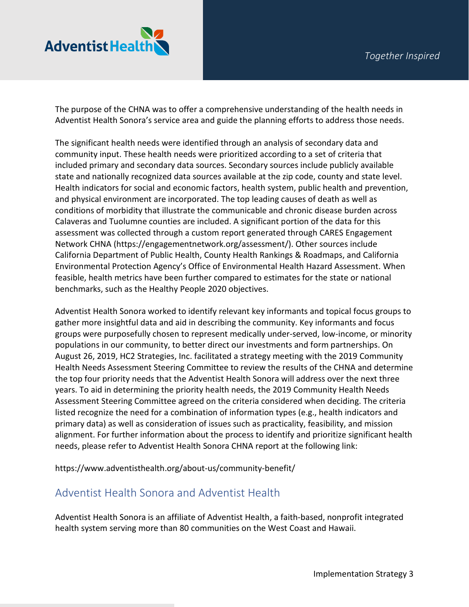

The purpose of the CHNA was to offer a comprehensive understanding of the health needs in Adventist Health Sonora's service area and guide the planning efforts to address those needs.

The significant health needs were identified through an analysis of secondary data and community input. These health needs were prioritized according to a set of criteria that included primary and secondary data sources. Secondary sources include publicly available state and nationally recognized data sources available at the zip code, county and state level. Health indicators for social and economic factors, health system, public health and prevention, and physical environment are incorporated. The top leading causes of death as well as conditions of morbidity that illustrate the communicable and chronic disease burden across Calaveras and Tuolumne counties are included. A significant portion of the data for this assessment was collected through a custom report generated through CARES Engagement Network CHNA (https://engagementnetwork.org/assessment/). Other sources include California Department of Public Health, County Health Rankings & Roadmaps, and California Environmental Protection Agency's Office of Environmental Health Hazard Assessment. When feasible, health metrics have been further compared to estimates for the state or national benchmarks, such as the Healthy People 2020 objectives.

Adventist Health Sonora worked to identify relevant key informants and topical focus groups to gather more insightful data and aid in describing the community. Key informants and focus groups were purposefully chosen to represent medically under-served, low-income, or minority populations in our community, to better direct our investments and form partnerships. On August 26, 2019, HC2 Strategies, Inc. facilitated a strategy meeting with the 2019 Community Health Needs Assessment Steering Committee to review the results of the CHNA and determine the top four priority needs that the Adventist Health Sonora will address over the next three years. To aid in determining the priority health needs, the 2019 Community Health Needs Assessment Steering Committee agreed on the criteria considered when deciding. The criteria listed recognize the need for a combination of information types (e.g., health indicators and primary data) as well as consideration of issues such as practicality, feasibility, and mission alignment. For further information about the process to identify and prioritize significant health needs, please refer to Adventist Health Sonora CHNA report at the following link:

<https://www.adventisthealth.org/about-us/community-benefit/>

# Adventist Health Sonora and Adventist Health

Adventist Health Sonora is an affiliate of Adventist Health, a faith-based, nonprofit integrated health system serving more than 80 communities on the West Coast and Hawaii.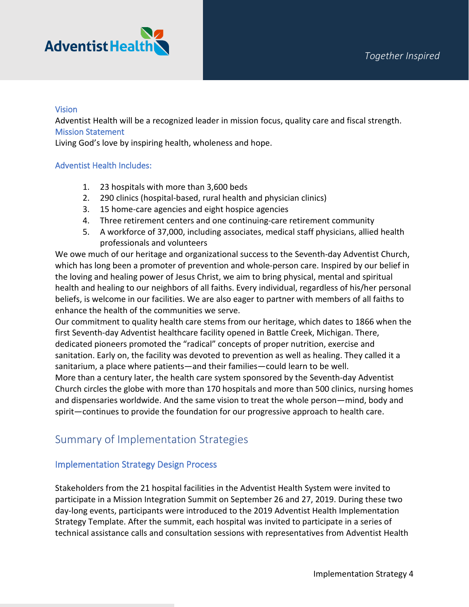

#### **Vision**

Adventist Health will be a recognized leader in mission focus, quality care and fiscal strength. Mission Statement

Living God's love by inspiring health, wholeness and hope.

#### Adventist Health Includes:

- 1. 23 hospitals with more than 3,600 beds
- 2. 290 clinics (hospital-based, rural health and physician clinics)
- 3. 15 home-care agencies and eight hospice agencies
- 4. Three retirement centers and one continuing-care retirement community
- 5. A workforce of 37,000, including associates, medical staff physicians, allied health professionals and volunteers

We owe much of our heritage and organizational success to the Seventh-day Adventist Church, which has long been a promoter of prevention and whole-person care. Inspired by our belief in the loving and healing power of Jesus Christ, we aim to bring physical, mental and spiritual health and healing to our neighbors of all faiths. Every individual, regardless of his/her personal beliefs, is welcome in our facilities. We are also eager to partner with members of all faiths to enhance the health of the communities we serve.

Our commitment to quality health care stems from our heritage, which dates to 1866 when the first Seventh-day Adventist healthcare facility opened in Battle Creek, Michigan. There, dedicated pioneers promoted the "radical" concepts of proper nutrition, exercise and sanitation. Early on, the facility was devoted to prevention as well as healing. They called it a sanitarium, a place where patients—and their families—could learn to be well. More than a century later, the health care system sponsored by the Seventh-day Adventist

Church circles the globe with more than 170 hospitals and more than 500 clinics, nursing homes and dispensaries worldwide. And the same vision to treat the whole person—mind, body and spirit—continues to provide the foundation for our progressive approach to health care.

# Summary of Implementation Strategies

### Implementation Strategy Design Process

Stakeholders from the 21 hospital facilities in the Adventist Health System were invited to participate in a Mission Integration Summit on September 26 and 27, 2019. During these two day-long events, participants were introduced to the 2019 Adventist Health Implementation Strategy Template. After the summit, each hospital was invited to participate in a series of technical assistance calls and consultation sessions with representatives from Adventist Health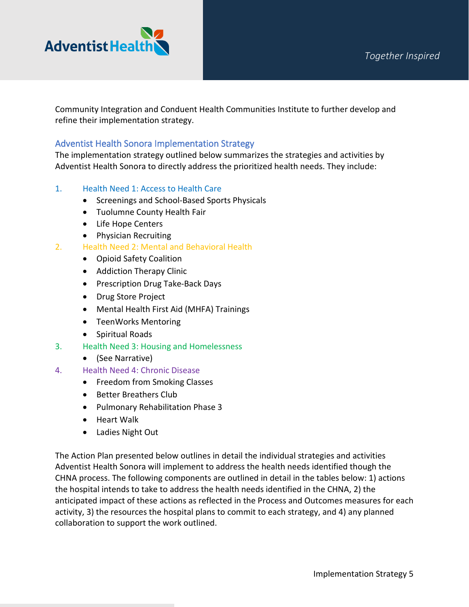

Community Integration and Conduent Health Communities Institute to further develop and refine their implementation strategy.

### Adventist Health Sonora Implementation Strategy

The implementation strategy outlined below summarizes the strategies and activities by Adventist Health Sonora to directly address the prioritized health needs. They include:

#### 1. Health Need 1: Access to Health Care

- Screenings and School-Based Sports Physicals
- Tuolumne County Health Fair
- Life Hope Centers
- Physician Recruiting
- 2. Health Need 2: Mental and Behavioral Health
	- Opioid Safety Coalition
	- Addiction Therapy Clinic
	- Prescription Drug Take-Back Days
	- Drug Store Project
	- Mental Health First Aid (MHFA) Trainings
	- TeenWorks Mentoring
	- Spiritual Roads
- 3. Health Need 3: Housing and Homelessness
	- (See Narrative)
- 4. Health Need 4: Chronic Disease
	- Freedom from Smoking Classes
	- Better Breathers Club
	- Pulmonary Rehabilitation Phase 3
	- Heart Walk
	- Ladies Night Out

The Action Plan presented below outlines in detail the individual strategies and activities Adventist Health Sonora will implement to address the health needs identified though the CHNA process. The following components are outlined in detail in the tables below: 1) actions the hospital intends to take to address the health needs identified in the CHNA, 2) the anticipated impact of these actions as reflected in the Process and Outcomes measures for each activity, 3) the resources the hospital plans to commit to each strategy, and 4) any planned collaboration to support the work outlined.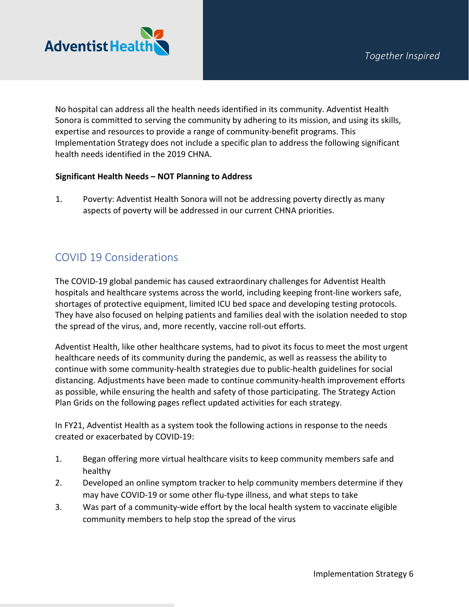

No hospital can address all the health needs identified in its community. Adventist Health Sonora is committed to serving the community by adhering to its mission, and using its skills, expertise and resources to provide a range of community-benefit programs. This Implementation Strategy does not include a specific plan to address the following significant health needs identified in the 2019 CHNA.

#### **Significant Health Needs – NOT Planning to Address**

1. Poverty: Adventist Health Sonora will not be addressing poverty directly as many aspects of poverty will be addressed in our current CHNA priorities.

# COVID 19 Considerations

The COVID-19 global pandemic has caused extraordinary challenges for Adventist Health hospitals and healthcare systems across the world, including keeping front-line workers safe, shortages of protective equipment, limited ICU bed space and developing testing protocols. They have also focused on helping patients and families deal with the isolation needed to stop the spread of the virus, and, more recently, vaccine roll-out efforts.

Adventist Health, like other healthcare systems, had to pivot its focus to meet the most urgent healthcare needs of its community during the pandemic, as well as reassess the ability to continue with some community-health strategies due to public-health guidelines for social distancing. Adjustments have been made to continue community-health improvement efforts as possible, while ensuring the health and safety of those participating. The Strategy Action Plan Grids on the following pages reflect updated activities for each strategy.

In FY21, Adventist Health as a system took the following actions in response to the needs created or exacerbated by COVID-19:

- 1. Began offering more virtual healthcare visits to keep community members safe and healthy
- 2. Developed an online symptom tracker to help community members determine if they may have COVID-19 or some other flu-type illness, and what steps to take
- 3. Was part of a community-wide effort by the local health system to vaccinate eligible community members to help stop the spread of the virus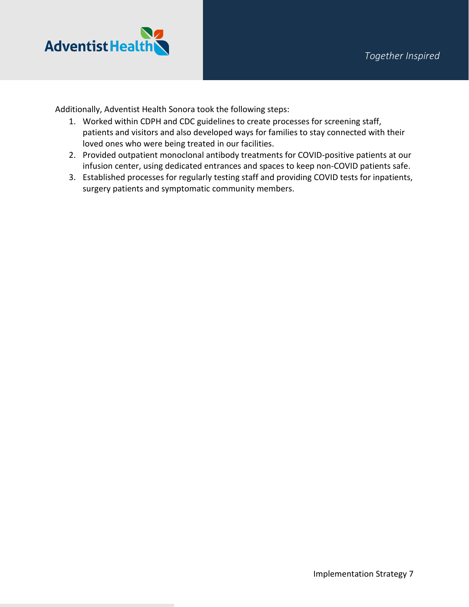

Additionally, Adventist Health Sonora took the following steps:

- 1. Worked within CDPH and CDC guidelines to create processes for screening staff, patients and visitors and also developed ways for families to stay connected with their loved ones who were being treated in our facilities.
- 2. Provided outpatient monoclonal antibody treatments for COVID-positive patients at our infusion center, using dedicated entrances and spaces to keep non-COVID patients safe.
- 3. Established processes for regularly testing staff and providing COVID tests for inpatients, surgery patients and symptomatic community members.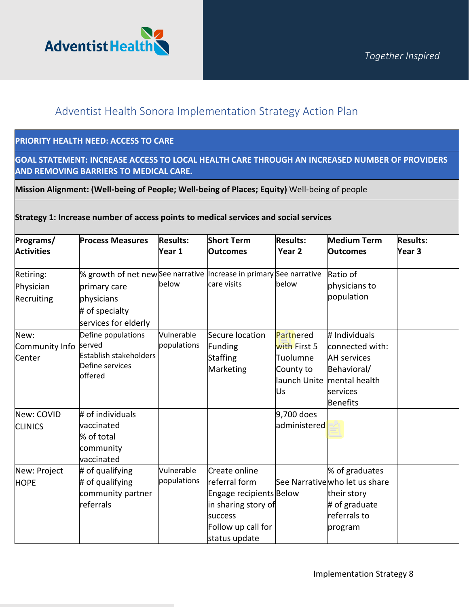

# Adventist Health Sonora Implementation Strategy Action Plan

### **PRIORITY HEALTH NEED: ACCESS TO CARE**

**GOAL STATEMENT: INCREASE ACCESS TO LOCAL HEALTH CARE THROUGH AN INCREASED NUMBER OF PROVIDERS AND REMOVING BARRIERS TO MEDICAL CARE.**

**Mission Alignment: (Well-being of People; Well-being of Places; Equity)** Well-being of people

### **Strategy 1: Increase number of access points to medical services and social services**

| Programs/<br><b>Activities</b>       | <b>Process Measures</b>                                                                                                                      | <b>Results:</b><br>Year 1 | <b>Short Term</b><br><b>Outcomes</b>                                                                                               | <b>Results:</b><br>Year <sub>2</sub>                                     | <b>Medium Term</b><br><b>Outcomes</b>                                                                          | <b>Results:</b><br>Year 3 |
|--------------------------------------|----------------------------------------------------------------------------------------------------------------------------------------------|---------------------------|------------------------------------------------------------------------------------------------------------------------------------|--------------------------------------------------------------------------|----------------------------------------------------------------------------------------------------------------|---------------------------|
| Retiring:<br>Physician<br>Recruiting | % growth of net new See narrative  Increase in primary See narrative<br>primary care<br>physicians<br># of specialty<br>services for elderly | below                     | care visits                                                                                                                        | below                                                                    | Ratio of<br>physicians to<br>population                                                                        |                           |
| New:<br>Community Info<br>Center     | Define populations<br>served<br>Establish stakeholders<br>Define services<br>offered                                                         | Vulnerable<br>populations | Secure location<br>Funding<br>Staffing<br>Marketing                                                                                | Partnered<br>with First 5<br>Tuolumne<br>County to<br>launch Unite<br>Us | # Individuals<br>connected with:<br><b>AH</b> services<br>Behavioral/<br>mental health<br>services<br>Benefits |                           |
| New: COVID<br><b>CLINICS</b>         | # of individuals<br>vaccinated<br>% of total<br>community<br>vaccinated                                                                      |                           |                                                                                                                                    | 9,700 does<br>administered                                               |                                                                                                                |                           |
| New: Project<br><b>HOPE</b>          | # of qualifying<br># of qualifying<br>community partner<br>referrals                                                                         | Vulnerable<br>populations | Create online<br>referral form<br>Engage recipients Below<br>in sharing story of<br>success<br>Follow up call for<br>status update |                                                                          | % of graduates<br>See Narrative who let us share<br>their story<br># of graduate<br>referrals to<br>program    |                           |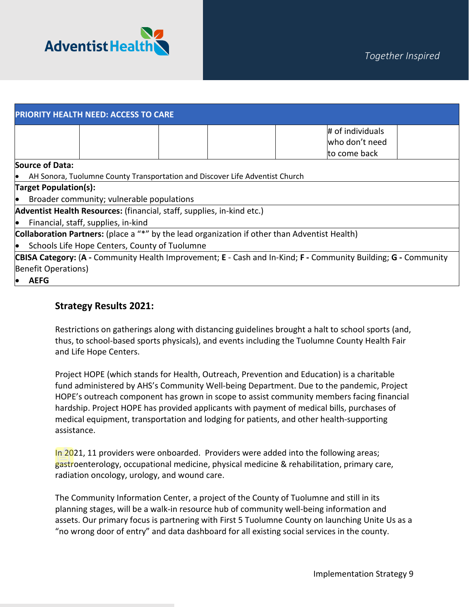

| <b>PRIORITY HEALTH NEED: ACCESS TO CARE</b>                                                   |                                                                                                                |  |  |  |  |  |  |
|-----------------------------------------------------------------------------------------------|----------------------------------------------------------------------------------------------------------------|--|--|--|--|--|--|
|                                                                                               | # of individuals                                                                                               |  |  |  |  |  |  |
|                                                                                               | who don't need                                                                                                 |  |  |  |  |  |  |
|                                                                                               | to come back                                                                                                   |  |  |  |  |  |  |
| Source of Data:                                                                               |                                                                                                                |  |  |  |  |  |  |
| AH Sonora, Tuolumne County Transportation and Discover Life Adventist Church<br>$\bullet$     |                                                                                                                |  |  |  |  |  |  |
| <b>Target Population(s):</b>                                                                  |                                                                                                                |  |  |  |  |  |  |
| $\bullet$ Broader community; vulnerable populations                                           |                                                                                                                |  |  |  |  |  |  |
| Adventist Health Resources: (financial, staff, supplies, in-kind etc.)                        |                                                                                                                |  |  |  |  |  |  |
| $\bullet$ Financial, staff, supplies, in-kind                                                 |                                                                                                                |  |  |  |  |  |  |
| Collaboration Partners: (place a "*" by the lead organization if other than Adventist Health) |                                                                                                                |  |  |  |  |  |  |
| • Schools Life Hope Centers, County of Tuolumne                                               |                                                                                                                |  |  |  |  |  |  |
|                                                                                               | CBISA Category: (A - Community Health Improvement; E - Cash and In-Kind; F - Community Building; G - Community |  |  |  |  |  |  |
| Benefit Operations)                                                                           |                                                                                                                |  |  |  |  |  |  |
| AEFG<br>$\bullet$                                                                             |                                                                                                                |  |  |  |  |  |  |

### **Strategy Results 2021:**

Restrictions on gatherings along with distancing guidelines brought a halt to school sports (and, thus, to school-based sports physicals), and events including the Tuolumne County Health Fair and Life Hope Centers.

Project HOPE (which stands for Health, Outreach, Prevention and Education) is a charitable fund administered by AHS's Community Well-being Department. Due to the pandemic, Project HOPE's outreach component has grown in scope to assist community members facing financial hardship. Project HOPE has provided applicants with payment of medical bills, purchases of medical equipment, transportation and lodging for patients, and other health-supporting assistance.

In 2021, 11 providers were onboarded. Providers were added into the following areas; gastroenterology, occupational medicine, physical medicine & rehabilitation, primary care, radiation oncology, urology, and wound care.

The Community Information Center, a project of the County of Tuolumne and still in its planning stages, will be a walk-in resource hub of community well-being information and assets. Our primary focus is partnering with First 5 Tuolumne County on launching Unite Us as a "no wrong door of entry" and data dashboard for all existing social services in the county.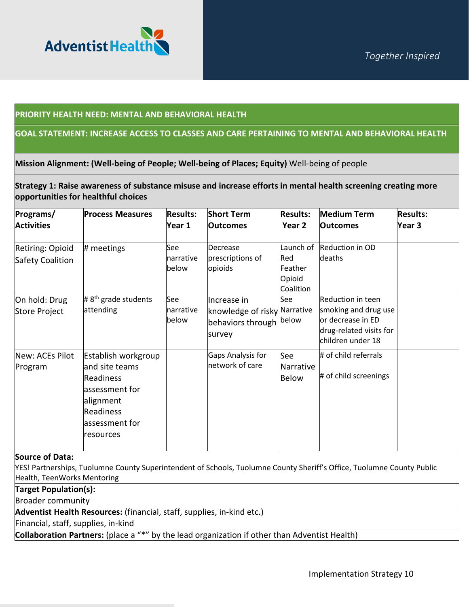

#### **PRIORITY HEALTH NEED: MENTAL AND BEHAVIORAL HEALTH**

#### **GOAL STATEMENT: INCREASE ACCESS TO CLASSES AND CARE PERTAINING TO MENTAL AND BEHAVIORAL HEALTH**

**Mission Alignment: (Well-being of People; Well-being of Places; Equity)** Well-being of people

**Strategy 1: Raise awareness of substance misuse and increase efforts in mental health screening creating more opportunities for healthful choices**

| Programs/<br><b>Activities</b>       | <b>Process Measures</b>                                                                                                                     | <b>Results:</b><br>Year 1  | <b>Short Term</b><br><b>Outcomes</b>                                             | <b>Results:</b><br>Year 2                          | <b>Medium Term</b><br><b>Outcomes</b>                                                                          | <b>Results:</b><br>Year 3 |
|--------------------------------------|---------------------------------------------------------------------------------------------------------------------------------------------|----------------------------|----------------------------------------------------------------------------------|----------------------------------------------------|----------------------------------------------------------------------------------------------------------------|---------------------------|
| Retiring: Opioid<br>Safety Coalition | # meetings                                                                                                                                  | See<br>narrative<br>lbelow | Decrease<br>prescriptions of<br>opioids                                          | Launch of<br>Red<br>Feather<br>Opioid<br>Coalition | <b>Reduction in OD</b><br>deaths                                                                               |                           |
| On hold: Drug<br>Store Project       | # $8th$ grade students<br>attending                                                                                                         | See<br>narrative<br>below  | Increase in<br>knowledge of risky Narrative<br>behaviors through below<br>survey | See                                                | Reduction in teen<br>smoking and drug use<br>or decrease in ED<br>drug-related visits for<br>children under 18 |                           |
| New: ACEs Pilot<br>Program           | Establish workgroup<br>and site teams<br><b>Readiness</b><br>assessment for<br>alignment<br><b>Readiness</b><br>assessment for<br>resources |                            | Gaps Analysis for<br>network of care                                             | See<br>Narrative<br><b>Below</b>                   | # of child referrals<br># of child screenings                                                                  |                           |

**Source of Data:** 

YES! Partnerships, Tuolumne County Superintendent of Schools, Tuolumne County Sheriff's Office, Tuolumne County Public Health, TeenWorks Mentoring

**Target Population(s):**

Broader community

**Adventist Health Resources:** (financial, staff, supplies, in-kind etc.)

Financial, staff, supplies, in-kind

**Collaboration Partners:** (place a "\*" by the lead organization if other than Adventist Health)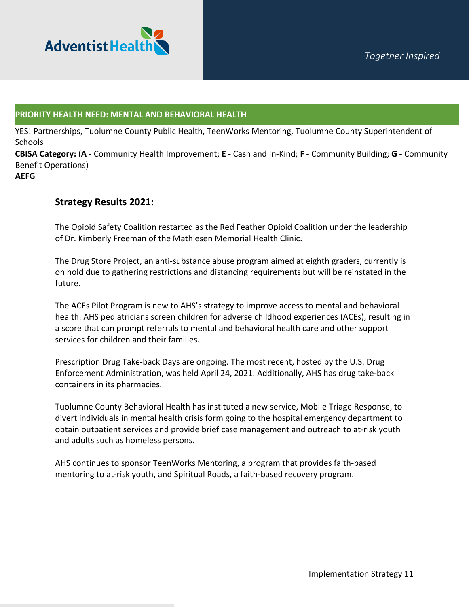

#### **PRIORITY HEALTH NEED: MENTAL AND BEHAVIORAL HEALTH**

YES! Partnerships, Tuolumne County Public Health, TeenWorks Mentoring, Tuolumne County Superintendent of Schools

**CBISA Category:** (**A -** Community Health Improvement; **E** - Cash and In-Kind; **F -** Community Building; **G -** Community Benefit Operations)

**AEFG**

#### **Strategy Results 2021:**

The Opioid Safety Coalition restarted as the Red Feather Opioid Coalition under the leadership of Dr. Kimberly Freeman of the Mathiesen Memorial Health Clinic.

The Drug Store Project, an anti-substance abuse program aimed at eighth graders, currently is on hold due to gathering restrictions and distancing requirements but will be reinstated in the future.

The ACEs Pilot Program is new to AHS's strategy to improve access to mental and behavioral health. AHS pediatricians screen children for adverse childhood experiences (ACEs), resulting in a score that can prompt referrals to mental and behavioral health care and other support services for children and their families.

Prescription Drug Take-back Days are ongoing. The most recent, hosted by the U.S. Drug Enforcement Administration, was held April 24, 2021. Additionally, AHS has drug take-back containers in its pharmacies.

Tuolumne County Behavioral Health has instituted a new service, Mobile Triage Response, to divert individuals in mental health crisis form going to the hospital emergency department to obtain outpatient services and provide brief case management and outreach to at-risk youth and adults such as homeless persons.

AHS continues to sponsor TeenWorks Mentoring, a program that provides faith-based mentoring to at-risk youth, and Spiritual Roads, a faith-based recovery program.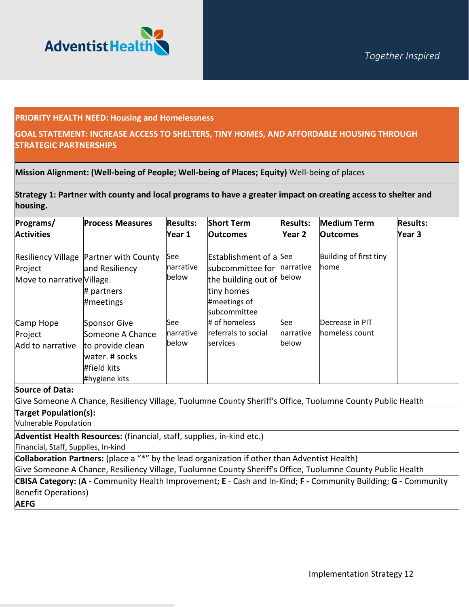

#### **PRIORITY HEALTH NEED: Housing and Homelessness**

#### **GOAL STATEMENT: INCREASE ACCESS TO SHELTERS, TINY HOMES, AND AFFORDABLE HOUSING THROUGH STRATEGIC PARTNERSHIPS**

**Mission Alignment: (Well-being of People; Well-being of Places; Equity)** Well-being of places

**Strategy 1: Partner with county and local programs to have a greater impact on creating access to shelter and housing.**

| Programs/<br><b>Activities</b>           | <b>Process Measures</b>                                                                                | <b>Results:</b><br>Year 1        | <b>Short Term</b><br><b>Outcomes</b>                                                                                         | <b>Results:</b><br>Year 2        | <b>Medium Term</b><br><b>Outcomes</b> | <b>Results:</b><br>Year 3 |
|------------------------------------------|--------------------------------------------------------------------------------------------------------|----------------------------------|------------------------------------------------------------------------------------------------------------------------------|----------------------------------|---------------------------------------|---------------------------|
| Project<br>Move to narrative Village.    | Resiliency Village Partner with County<br>and Resiliency<br># partners<br>#meetings                    | See<br>narrative<br>below        | <b>Establishment of a See</b><br>subcommittee for<br>the building out of below<br>tiny homes<br>#meetings of<br>subcommittee | <b>Inarrative</b>                | Building of first tiny<br>home        |                           |
| Camp Hope<br>Project<br>Add to narrative | Sponsor Give<br>Someone A Chance<br>to provide clean<br>water. # socks<br>#field kits<br>#hygiene kits | See<br><b>narrative</b><br>below | # of homeless<br>referrals to social<br>services                                                                             | <b>See</b><br>narrative<br>below | Decrease in PIT<br>homeless count     |                           |

#### **Source of Data:**

Give Someone A Chance, Resiliency Village, Tuolumne County Sheriff's Office, Tuolumne County Public Health

**Target Population(s):**

Vulnerable Population

**Adventist Health Resources:** (financial, staff, supplies, in-kind etc.)

Financial, Staff, Supplies, In-kind

**Collaboration Partners:** (place a "\*" by the lead organization if other than Adventist Health)

Give Someone A Chance, Resiliency Village, Tuolumne County Sheriff's Office, Tuolumne County Public Health

**CBISA Category:** (**A -** Community Health Improvement; **E** - Cash and In-Kind; **F -** Community Building; **G -** Community Benefit Operations)

**AEFG**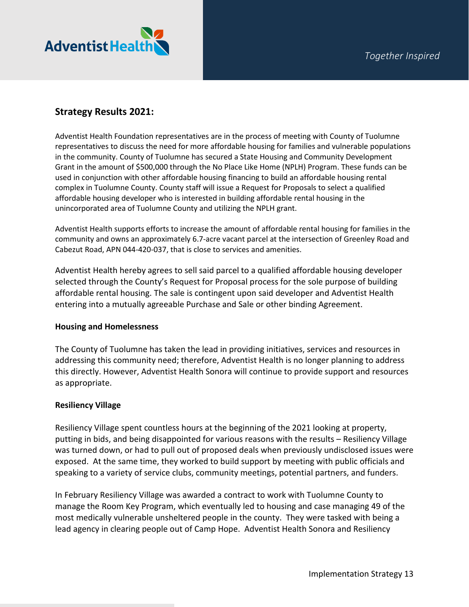

## **Strategy Results 2021:**

Adventist Health Foundation representatives are in the process of meeting with County of Tuolumne representatives to discuss the need for more affordable housing for families and vulnerable populations in the community. County of Tuolumne has secured a State Housing and Community Development Grant in the amount of \$500,000 through the No Place Like Home (NPLH) Program. These funds can be used in conjunction with other affordable housing financing to build an affordable housing rental complex in Tuolumne County. County staff will issue a Request for Proposals to select a qualified affordable housing developer who is interested in building affordable rental housing in the unincorporated area of Tuolumne County and utilizing the NPLH grant.

Adventist Health supports efforts to increase the amount of affordable rental housing for families in the community and owns an approximately 6.7-acre vacant parcel at the intersection of Greenley Road and Cabezut Road, APN 044-420-037, that is close to services and amenities.

Adventist Health hereby agrees to sell said parcel to a qualified affordable housing developer selected through the County's Request for Proposal process for the sole purpose of building affordable rental housing. The sale is contingent upon said developer and Adventist Health entering into a mutually agreeable Purchase and Sale or other binding Agreement.

#### **Housing and Homelessness**

The County of Tuolumne has taken the lead in providing initiatives, services and resources in addressing this community need; therefore, Adventist Health is no longer planning to address this directly. However, Adventist Health Sonora will continue to provide support and resources as appropriate.

#### **Resiliency Village**

Resiliency Village spent countless hours at the beginning of the 2021 looking at property, putting in bids, and being disappointed for various reasons with the results – Resiliency Village was turned down, or had to pull out of proposed deals when previously undisclosed issues were exposed. At the same time, they worked to build support by meeting with public officials and speaking to a variety of service clubs, community meetings, potential partners, and funders.

In February Resiliency Village was awarded a contract to work with Tuolumne County to manage the Room Key Program, which eventually led to housing and case managing 49 of the most medically vulnerable unsheltered people in the county. They were tasked with being a lead agency in clearing people out of Camp Hope. Adventist Health Sonora and Resiliency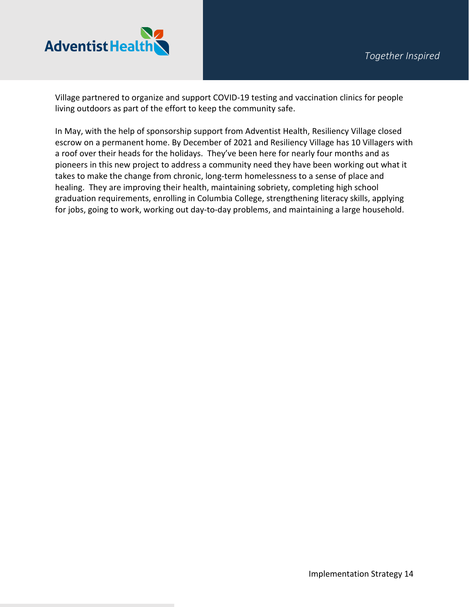

Village partnered to organize and support COVID-19 testing and vaccination clinics for people living outdoors as part of the effort to keep the community safe.

In May, with the help of sponsorship support from Adventist Health, Resiliency Village closed escrow on a permanent home. By December of 2021 and Resiliency Village has 10 Villagers with a roof over their heads for the holidays. They've been here for nearly four months and as pioneers in this new project to address a community need they have been working out what it takes to make the change from chronic, long-term homelessness to a sense of place and healing. They are improving their health, maintaining sobriety, completing high school graduation requirements, enrolling in Columbia College, strengthening literacy skills, applying for jobs, going to work, working out day-to-day problems, and maintaining a large household.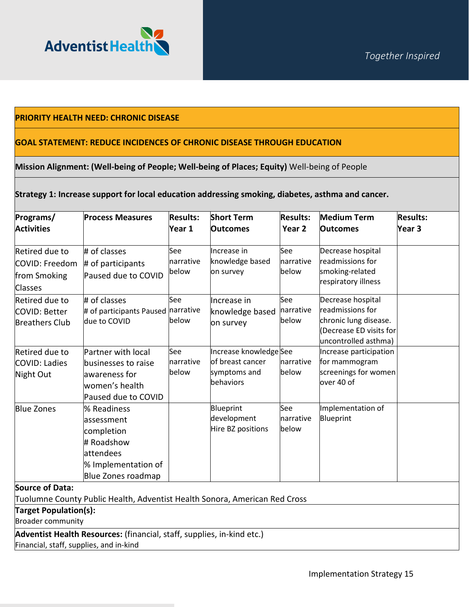

#### **PRIORITY HEALTH NEED: CHRONIC DISEASE**

#### **GOAL STATEMENT: REDUCE INCIDENCES OF CHRONIC DISEASE THROUGH EDUCATION**

#### **Mission Alignment: (Well-being of People; Well-being of Places; Equity)** Well-being of People

#### **Strategy 1: Increase support for local education addressing smoking, diabetes, asthma and cancer.**

| Programs/                                                          | <b>Process Measures</b>                                                                                          | <b>Results:</b>           | <b>Short Term</b>                                                       | <b>Results:</b>            | <b>Medium Term</b>                                                                                                | <b>Results:</b>   |
|--------------------------------------------------------------------|------------------------------------------------------------------------------------------------------------------|---------------------------|-------------------------------------------------------------------------|----------------------------|-------------------------------------------------------------------------------------------------------------------|-------------------|
| <b>Activities</b>                                                  |                                                                                                                  | Year 1                    | <b>Outcomes</b>                                                         | Year <sub>2</sub>          | <b>Outcomes</b>                                                                                                   | Year <sub>3</sub> |
| Retired due to<br>COVID: Freedom<br>from Smoking<br><b>Classes</b> | # of classes<br># of participants<br>Paused due to COVID                                                         | See<br>narrative<br>below | Increase in<br>knowledge based<br>on survey                             | See<br>Inarrative<br>below | Decrease hospital<br>readmissions for<br>smoking-related<br>respiratory illness                                   |                   |
| <b>Retired due to</b><br>COVID: Better<br><b>Breathers Club</b>    | # of classes<br># of participants Paused narrative<br>due to COVID                                               | See<br>lbelow             | Increase in<br>knowledge based<br>on survey                             | See<br>narrative<br>below  | Decrease hospital<br>readmissions for<br>chronic lung disease.<br>(Decrease ED visits for<br>uncontrolled asthma) |                   |
| Retired due to<br>COVID: Ladies<br>Night Out                       | Partner with local<br>businesses to raise<br>awareness for<br>women's health<br>Paused due to COVID              | See<br>narrative<br>below | Increase knowledge See<br>of breast cancer<br>symptoms and<br>behaviors | narrative<br>below         | Increase participation<br>for mammogram<br>screenings for women<br>over 40 of                                     |                   |
| <b>Blue Zones</b>                                                  | % Readiness<br>lassessment<br>completion<br># Roadshow<br>attendees<br>% Implementation of<br>Blue Zones roadmap |                           | Blueprint<br>development<br>Hire BZ positions                           | See<br>narrative<br>below  | Implementation of<br>Blueprint                                                                                    |                   |

#### **Source of Data:**

Tuolumne County Public Health, Adventist Health Sonora, American Red Cross

**Target Population(s):**

Broader community

**Adventist Health Resources:** (financial, staff, supplies, in-kind etc.)

Financial, staff, supplies, and in-kind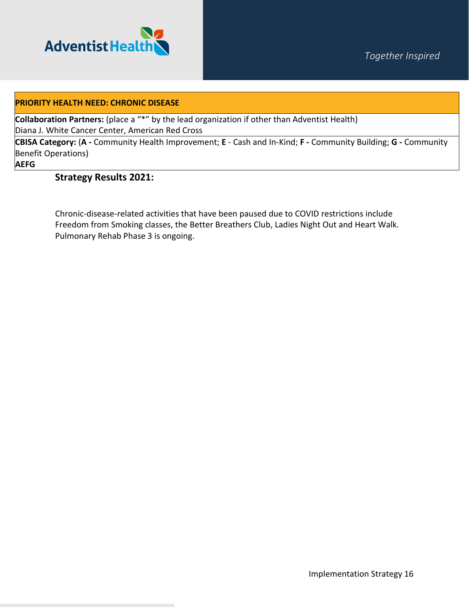

#### **PRIORITY HEALTH NEED: CHRONIC DISEASE**

**Collaboration Partners:** (place a "\*" by the lead organization if other than Adventist Health) Diana J. White Cancer Center, American Red Cross

**CBISA Category:** (**A -** Community Health Improvement; **E** - Cash and In-Kind; **F -** Community Building; **G -** Community Benefit Operations)

#### **AEFG**

#### **Strategy Results 2021:**

Chronic-disease-related activities that have been paused due to COVID restrictions include Freedom from Smoking classes, the Better Breathers Club, Ladies Night Out and Heart Walk. Pulmonary Rehab Phase 3 is ongoing.